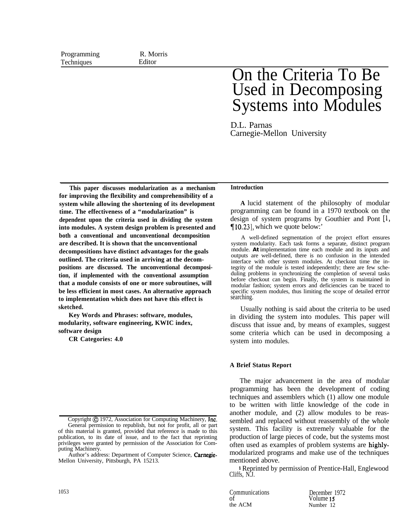Programming R. Morris Techniques Editor

# On the Criteria To Be Used in Decomposing Systems into Modules

D.L. Parnas Carnegie-Mellon University

# **This paper discusses modularization as a mechanism for improving the flexibility and comprehensibility of a system while allowing the shortening of its development time. The effectiveness of a "modularization" is dependent upon the criteria used in dividing the system into modules. A system design problem is presented and both a conventional and unconventional decomposition are described. It is shown that the unconventional decompositions have distinct advantages for the goals outlined. The criteria used in arriving at the decompositions are discussed. The unconventional decomposition, if implemented with the conventional assumption that a module consists of one or more subroutines, will be less efficient in most cases. An alternative approach to implementation which does not have this effect is sketched.**

**Key Words and Phrases: software, modules, modularity, software engineering, KWIC index, software design**

**CR Categories: 4.0**

Author's address: Department of Computer Science, Carnegie-Mellon University, Pittsburgh, PA 15213.

#### **Introduction**

**A** lucid statement of the philosophy of modular programming can be found in a 1970 textbook on the design of system programs by Gouthier and Pont [l, 710.231, which we quote below:'

A well-defined segmentation of the project effort ensures system modularity. Each task forms a separate, distinct program module. **At** implementation time each module and its inputs and outputs are well-defined, there is no confusion in the intended interface with other system modules. At checkout time the integrity of the module is tested independently; there are few scheduling problems in synchronizing the completion of several tasks before checkout can begin. Finally, the system is maintained in modular fashion; system errors and deficiencies can be traced to specific system modules, thus limiting the scope of detailed error searching.

Usually nothing is said about the criteria to be used in dividing the system into modules. This paper will discuss that issue and, by means of examples, suggest some criteria which can be used in decomposing a system into modules.

#### **A Brief Status Report**

The major advancement in the area of modular programming has been the development of coding techniques and assemblers which (1) allow one module to be written with little knowledge of the code in another module, and (2) allow modules to be reassembled and replaced without reassembly of the whole system. This facility is extremely valuable for the production of large pieces of code, but the systems most often used as examples of problem systems are highlymodularized programs and make use of the techniques mentioned above.

\* Reprinted by permission of Prentice-Hall, Englewood Cliffs, N.J.

Communications of<br>the ACM

Copyright @ 1972, Association for Computing Machinery, Inc. General permission to republish, but not for profit, all or part of this material is granted, provided that reference is made to this publication, to its date of issue, and to the fact that reprinting privileges were granted by permission of the Association for Computing Machinery.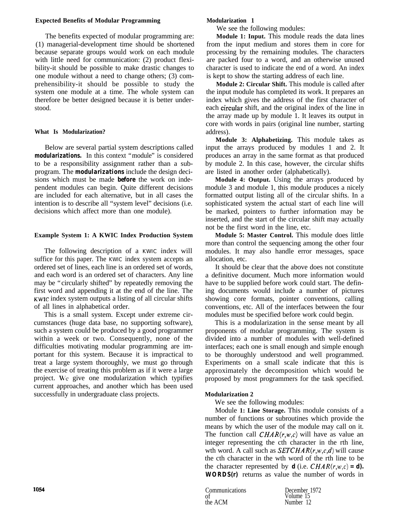#### **Expected Benefits of Modular Programming Theory Modularization 1**

The benefits expected of modular programming are: (1) managerial-development time should be shortened because separate groups would work on each module with little need for communication: (2) product flexibility-it should be possible to make drastic changes to one module without a need to change others; (3) comprehensibility-it should be possible to study the system one module at a time. The whole system can therefore be better designed because it is better understood.

#### **What Is Modularization?**

Below are several partial system descriptions called *modularizations.* In this context "module" is considered to be a responsibility assignment rather than a subprogram. The *modularizations* include the design decisions which must be made *before* the work on independent modules can begin. Quite different decisions are included for each alternative, but in all cases the intention is to describe all "system level" decisions (i.e. decisions which affect more than one module).

#### **Example System 1: A KWIC Index Production System**

The following description of a KWIC index will suffice for this paper. The KWIC index system accepts an ordered set of lines, each line is an ordered set of words, and each word is an ordered set of characters. Any line may be "circularly shifted" by repeatedly removing the first word and appending it at the end of the line. The KWIC index system outputs a listing of all circular shifts of all lines in alphabetical order.

This is a small system. Except under extreme circumstances (huge data base, no supporting software), such a system could be produced by a good programmer within a week or two. Consequently, none of the difficulties motivating modular programming are important for this system. Because it is impractical to treat a large system thoroughly, we must go through the exercise of treating this problem as if it were a large project. We give one modularization which typifies current approaches, and another which has been used successfully in undergraduate class projects.

We see the following modules:

**Module 1: Input.** This module reads the data lines from the input medium and stores them in core for processing by the remaining modules. The characters are packed four to a word, and an otherwise unused character is used to indicate the end of a word. An index is kept to show the starting address of each line.

**Module 2: Circular Shift.** This module is called after the input module has completed its work. It prepares an index which gives the address of the first character of each circular shift, and the original index of the line in the array made up by module 1. It leaves its output in core with words in pairs (original line number, starting address).

**Module 3: Alphabetizing.** This module takes as input the arrays produced by modules 1 and 2. It produces an array in the same format as that produced by module 2. In this case, however, the circular shifts are listed in another order (alphabetically).

**Module 4: Output.** Using the arrays produced by module 3 and module 1, this module produces a nicely formatted output listing all of the circular shifts. In a sophisticated system the actual start of each line will be marked, pointers to further information may be inserted, and the start of the circular shift may actually not be the first word in the line, etc.

**Module 5: Master Control.** This module does little more than control the sequencing among the other four modules. It may also handle error messages, space allocation, etc.

It should be clear that the above does not constitute a definitive document. Much more information would have to be supplied before work could start. The defining documents would include a number of pictures showing core formats, pointer conventions, calling conventions, etc. All of the interfaces between the four modules must be specified before work could begin.

This is a modularization in the sense meant by all proponents of modular programming. The system is divided into a number of modules with well-defined interfaces; each one is small enough and simple enough to be thoroughly understood and well programmed. Experiments on a small scale indicate that this is approximately the decomposition which would be proposed by most programmers for the task specified.

#### **Modularization 2**

We see the following modules:

Module **1: Line Storage.** This module consists of a number of functions or subroutines which provide the means by which the user of the module may call on it. The function call  $CHAR(r, w, c)$  will have as value an integer representing the cth character in the rth line, wth word. A call such as *SETCHAR(r,w,c,d)* will cause the cth character in the wth word of the rth line to be the character represented by  $\mathbf{d}$  (i.e. *CHAR(r,w,c)* = **d).** *WORDS(r)* returns as value the number of words in

Communications of the ACM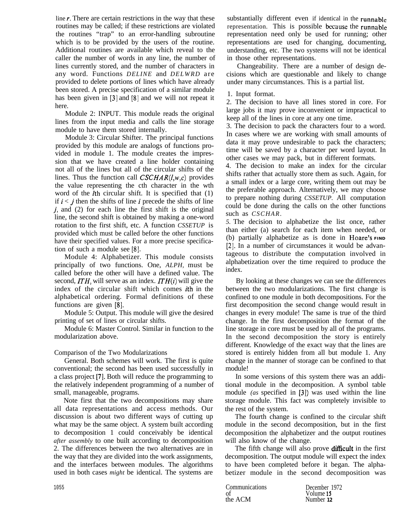line  $r$ . There are certain restrictions in the way that these routines may be called; if these restrictions are violated the routines "trap" to an error-handling subroutine which is to be provided by the users of the routine. Additional routines are available which reveal to the caller the number of words in any line, the number of lines currently stored, and the number of characters in any word. Functions *DELINE* and *DELWRD* are provided to delete portions of lines which have already been stored. A precise specification of a similar module has been given in [3] and [8] and we will not repeat it here.

Module 2: INPUT. This module reads the original lines from the input media and calls the line storage module to have them stored internally.

Module 3: Circular Shifter. The principal functions provided by this module are analogs of functions provided in module 1. The module creates the impression that we have created a line holder containing not all of the lines but all of the circular shifts of the lines. Thus the function call *CSCHAR(f,w,c)* provides the value representing the cth character in the wth word of the *l*th circular shift. It is specified that (1) if  $i < j$  then the shifts of line i precede the shifts of line  $i$ , and (2) for each line the first shift is the original line, the second shift is obtained by making a one-word rotation to the first shift, etc. A function *CSSETUP* is provided which must be called before the other functions have their specified values. For a more precise specification of such a module see [8].

Module 4: Alphabetizer. This module consists principally of two functions. One, *ALPH,* must be called before the other will have a defined value. The second, *ZTH,* will serve as an index. *ITH(i)* will give the index of the circular shift which comes ith in the alphabetical ordering. Formal definitions of these functions are given [8].

Module 5: Output. This module will give the desired printing of set of lines or circular shifts.

Module 6: Master Control. Similar in function to the modularization above.

## Comparison of the Two Modularizations

General. Both schemes will work. The first is quite conventional; the second has been used successfully in a class project [7]. Both will reduce the programming to the relatively independent programming of a number of small, manageable, programs.

Note first that the two decompositions may share all data representations and access methods. Our discussion is about two different ways of cutting up what may be the same object. A system built according to decomposition 1 could conceivably be identical *after assembly* to one built according to decomposition 2. The differences between the two alternatives are in the way that they are divided into the work assignments, and the interfaces between modules. The algorithms used in both cases *might* be identical. The systems are substantially different even if identical in the runnable representation. This is possible because the runnable representation need only be used for running; other representations are used for changing, documenting, understanding, etc. The two systems will not be identical in those other representations.

Changeability. There are a number of design decisions which are questionable and likely to change under many circumstances. This is a partial list.

1. Input format.

2. The decision to have all lines stored in core. For large jobs it may prove inconvenient or impractical to keep all of the lines in core at any one time.

3. The decision to pack the characters four to a word. In cases where we are working with small amounts of data it may prove undesirable to pack the characters; time will be saved by a character per word layout. In other cases we may pack, but in different formats.

4. The decision to make an index for the circular shifts rather that actually store them as such. Again, for a small index or a large core, writing them out may be the preferable approach. Alternatively, we may choose to prepare nothing during *CSSETUP.* All computation could be done during the calls on the other functions such as *CSCHAR.*

*5.* The decision to alphabetize the list once, rather than either (a) search for each item when needed, or (b) partially alphabetize as is done in Hoare's **FIND** [2]. In a number of circumstances it would be advantageous to distribute the computation involved in alphabetization over the time required to produce the index.

By looking at these changes we can see the differences between the two modularizations. The first change is confined to one module in both decompositions. For the first decomposition the second change would result in changes in every module! The same is true of the third change. In the first decomposition the format of the line storage in core must be used by all of the programs. In the second decomposition the story is entirely different. Knowledge of the exact way that the lines are stored is entirely hidden from all but module 1. Any change in the manner of storage can be confined to that module!

In some versions of this system there was an additional module in the decomposition. A symbol table module *(as* specified in [3]) was used within the line storage module. This fact was completely invisible to the rest of the system.

The fourth change is confined to the circular shift module in the second decomposition, but in the first decomposition the alphabetizer and the output routines will also know of the change.

The fifth change will also prove difficult in the first decomposition. The output module will expect the index to have been completed before it began. The alphabetizer module in the second decomposition was

1055 Communications December 1972 of Volume IS the ACM Number **<sup>12</sup>**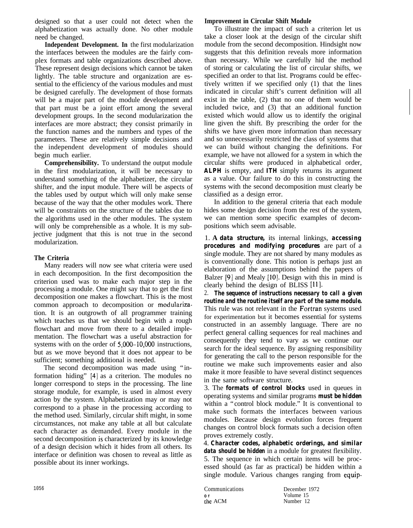designed so that a user could not detect when the alphabetization was actually done. No other module need be changed.

**Independent Development. In** the first modularization the interfaces between the modules are the fairly complex formats and table organizations described above. These represent design decisions which cannot be taken lightly. The table structure and organization are essential to the efficiency of the various modules and must be designed carefully. The development of those formats will be a major part of the module development and that part must be a joint effort among the several development groups. In the second modularization the interfaces are more abstract; they consist primarily in the function names and the numbers and types of the parameters. These are relatively simple decisions and the independent development of modules should begin much earlier.

**Comprehensibility.** To understand the output module in the first modularization, it will be necessary to understand something of the alphabetizer, the circular shifter, and the input module. There will be aspects of the tables used by output which will only make sense because of the way that the other modules work. There will be constraints on the structure of the tables due to the algorithms used in the other modules. The system will only be comprehensible as a whole. It is my subjective judgment that this is not true in the second modularization.

# **The Criteria**

Many readers will now see what criteria were used in each decomposition. In the first decomposition the criterion used was to make each major step in the processing a module. One might say that to get the first decomposition one makes a flowchart. This is the most common approach to decomposition or modularization. It is an outgrowth of all programmer training which teaches us that we should begin with a rough flowchart and move from there to a detailed implementation. The flowchart was a useful abstraction for systems with on the order of 5,000-10,000 instructions, but as we move beyond that it does not appear to be sufficient; something additional is needed.

The second decomposition was made using "information hiding" [4] as a criterion. The modules no longer correspond to steps in the processing. The line storage module, for example, is used in almost every action by the system. Alphabetization may or may not correspond to a phase in the processing according to the method used. Similarly, circular shift might, in some circumstances, not make any table at all but calculate each character as demanded. Every module in the second decomposition is characterized by its knowledge of a design decision which it hides from all others. Its interface or definition was chosen to reveal as little as possible about its inner workings.

## **Improvement in Circular Shift Module**

To illustrate the impact of such a criterion let us take a closer look at the design of the circular shift module from the second decomposition. Hindsight now suggests that this definition reveals more information than necessary. While we carefully hid the method of storing or calculating the list of circular shifts, we specified an order to that list. Programs could be effectively written if we specified only (1) that the lines indicated in circular shift's current definition will all exist in the table, (2) that no one of them would be included twice, and (3) that an additional function existed which would allow us to identify the original line given the shift. By prescribing the order for the shifts we have given more information than necessary and so unnecessarily restricted the class of systems that we can build without changing the definitions. For example, we have not allowed for a system in which the circular shifts were produced in alphabetical order, *ALPH* is empty, and *ITH* simply returns its argument as a value. Our failure to do this in constructing the systems with the second decomposition must clearly be classified as a design error.

In addition to the general criteria that each module hides some design decision from the rest of the system, we can mention some specific examples of decompositions which seem advisable.

1. **A** *data structure,* its internal linkings, *accessing procedures and modifying procedures* are part of a single module. They are not shared by many modules as is conventionally done. This notion is perhaps just an elaboration of the assumptions behind the papers of Balzer  $[9]$  and Mealy  $[10]$ . Design with this in mind is clearly behind the design of BLISS [11].

2. *The sequence of instructions necessary to call a given routine and the routine itself are part of the same module.* This rule was not relevant in the Fortran systems used for experimentation but it becomes essential for systems constructed in an assembly language. There are no perfect general calling sequences for real machines and consequently they tend to vary as we continue our search for the ideal sequence. By assigning responsibility for generating the call to the person responsible for the routine we make such improvements easier and also make it more feasible to have several distinct sequences in the same software structure.

3. The *formats of control blocks* used in queues in operating systems and similar programs *must be hidden* within a "control block module." It is conventional to make such formats the interfaces between various modules. Because design evolution forces frequent changes on control block formats such a decision often proves extremely costly.

4. *Character codes, alphabetic orderings, and similar data should be hidden* in a module for greatest flexibility. 5. The sequence in which certain items will be processed should (as far as practical) be hidden within a single module. Various changes ranging from equip-

1056 Communications December 1972 **o f**  $\blacksquare$  **b**  $\blacksquare$  **v**  $\blacksquare$  **b**  $\blacksquare$  **f**  $\blacksquare$  **f**  $\blacksquare$  *f*  $\blacksquare$  *f*  $\blacksquare$  *f*  $\blacksquare$  *f*  $\blacksquare$  *f*  $\blacksquare$  *f*  $\blacksquare$  *f*  $\blacksquare$  *f*  $\blacksquare$  *f*  $\blacksquare$  *f*  $\blacksquare$  *f*  $\blacksquare$  *f*  $\bl$ the ACM Number 12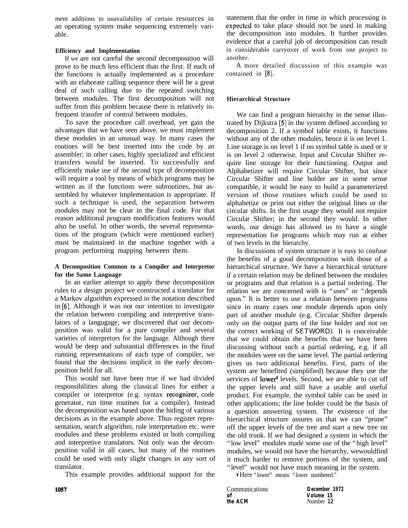ment additions to unavailability of certain resources in an operating system make sequencing extremely variable.

# **Efficiency and Implementation**

If we are not careful the second decomposition will prove to be much less efficient than the first. If each of the functions is actually implemented as a procedure with an elaborate calling sequence there will be a great deal of such calling due to the repeated switching between modules. The first decomposition will not suffer from this problem because there is relatively infrequent transfer of control between modules.

To save the procedure call overhead, yet gain the advantages that we have seen above, we must implement these modules in an unusual way. In many cases the routines will be best inserted into the code by an assembler; in other cases, highly specialized and efficient transfers would be inserted. To successfully and efficiently make use of the second type of decomposition will require a tool by means of which programs may be written as if the functions were subroutines, but assembled by whatever implementation is appropriate. If such a technique is used, the separation between modules may not be clear in the final code. For that reason additional program modification features would also be useful. In other words, the several representations of the program (which were mentioned earlier) must be maintained in the machine together with a program performing mapping between them.

# **A Decomposition Common to a Compiler and Interpretor for the Same Language**

In an earlier attempt to apply these decomposition rules to a design project we constructed a translator for a Markov algorithm expressed in the notation described in [6]. Although it was not our intention to investigate the relation between compiling and interpretive translators of a langugage, we discovered that our decomposition was valid for a pure compiler and several varieties of interpretors for the language. Although there would be deep and substantial differences in the final running representations of each type of compiler, we found that the decisions implicit in the early decomposition held for all.

This would not have been true if we had divided responsibilities along the classical lines for either a compiler or interpretor (e.g. syntax recognizer, code generator, run time routines for a compiler). Instead the decomposition was based upon the hiding of various decisions as in the example above. Thus register representation, search algorithm, rule interpretation etc. were modules and these problems existed in both compiling and interpretive translators. Not only was the decomposition valid in all cases, but many of the routines could be used with only slight changes in any sort of translator.

This example provides additional support for the  $\bullet$  **Here "lower"** means "lower numbered."

A more detailed discussion of this example was contained in [8].

# **Hierarchical Structure**

We can find a program hierarchy in the sense illustrated by Dijkstra [5] in the system defined according to decomposition 2. If a symbol table exists, it functions without any of the other modules, hence it is on level 1. Line storage is on level 1 if no symbol table is used or it is on level 2 otherwise. Input and Circular Shifter require line storage for their functioning. Output and Alphabetizer will require Circular Shifter, but since Circular Shifter and line holder are in some sense compatible, it would be easy to build a parameterized version of those routines which could be used to alphabetize or print out either the original lines or the circular shifts. In the first usage they would not require Circular Shifter; in the second they would. In other words, our design has allowed us to have a single representation for programs which may run at either of two levels in the hierarchy.

In discussions of system structure it is easy to confuse the benefits of a good decomposition with those of a hierarchical structure. We have a hierarchical structure if a certain relation may be defined between the modules or programs and that relation is a partial ordering. The relation we are concerned with is "uses" or "depends upon." It is better to use a relation between programs since in many cases one module depends upon only part of another module (e.g. Circular Shifter depends only on the output parts of the line holder and not on the correct working of *SETWORD).* It is conceivable that we could obtain the benefits that we have been discussing without such a partial ordering, e.g. if all the modules were on the same level. The partial ordering gives us two additional benefits. First, parts of the system are benefited (simplified) because they use the services of **lower<sup>2</sup>** levels. Second, we are able to cut off the upper levels and still have a usable and useful product. For example, the symbol table can be used in other applications; the line holder could be the basis of a question answering system. The existence of the hierarchical structure assures us that we can "prune" off the upper levels of the tree and start a new tree on the old trunk. If we had designed a system in which the "low level" modules made some use of the "high level" modules, we would not have the hierarchy, wewouldfind it much harder to remove portions of the system, and "level" would not have much meaning in the system.

Communications **of the ACM**

**December 1972 Volume 15** Number **12**